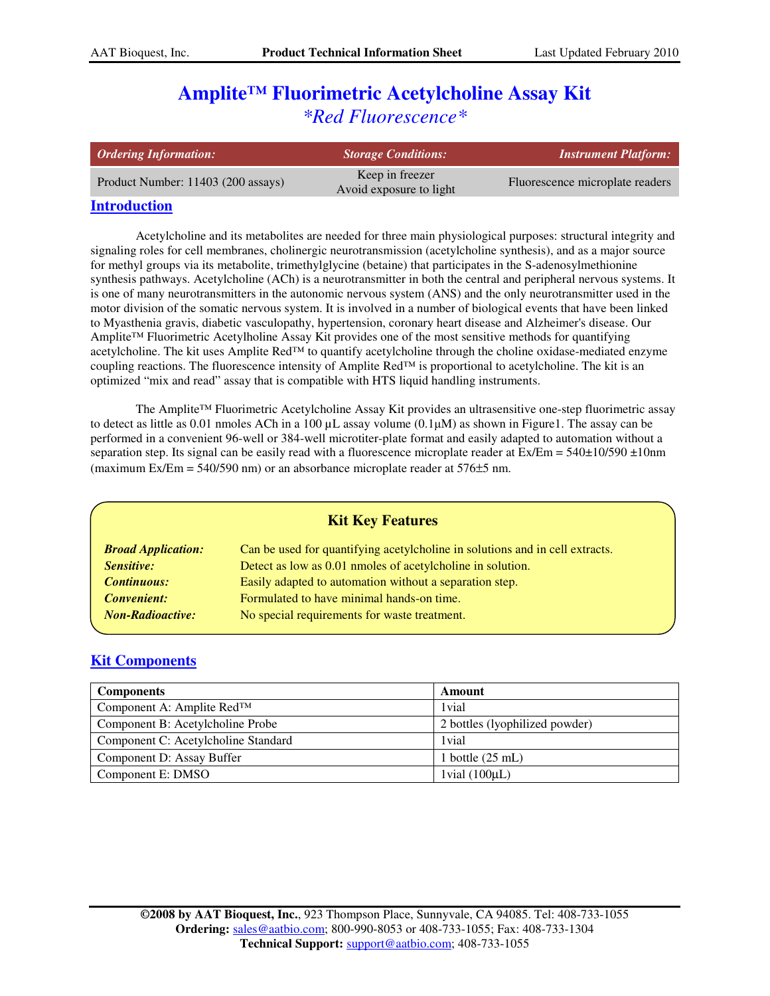# **Amplite™ Fluorimetric Acetylcholine Assay Kit** *\*Red Fluorescence\**

| <b>Ordering Information:</b>       | Storage Conditions:                        | <b>Instrument Platform:</b>     |
|------------------------------------|--------------------------------------------|---------------------------------|
| Product Number: 11403 (200 assays) | Keep in freezer<br>Avoid exposure to light | Fluorescence microplate readers |

## **Introduction**

Acetylcholine and its metabolites are needed for three main physiological purposes: structural integrity and signaling roles for cell membranes, cholinergic neurotransmission (acetylcholine synthesis), and as a major source for methyl groups via its metabolite, trimethylglycine (betaine) that participates in the S-adenosylmethionine synthesis pathways. Acetylcholine (ACh) is a neurotransmitter in both the central and peripheral nervous systems. It is one of many neurotransmitters in the autonomic nervous system (ANS) and the only neurotransmitter used in the motor division of the somatic nervous system. It is involved in a number of biological events that have been linked to Myasthenia gravis, diabetic vasculopathy, hypertension, coronary heart disease and Alzheimer's disease. Our Amplite™ Fluorimetric Acetylholine Assay Kit provides one of the most sensitive methods for quantifying acetylcholine. The kit uses Amplite Red™ to quantify acetylcholine through the choline oxidase-mediated enzyme coupling reactions. The fluorescence intensity of Amplite Red<sup>™</sup> is proportional to acetylcholine. The kit is an optimized "mix and read" assay that is compatible with HTS liquid handling instruments.

The Amplite™ Fluorimetric Acetylcholine Assay Kit provides an ultrasensitive one-step fluorimetric assay to detect as little as 0.01 nmoles ACh in a 100  $\mu$ L assay volume (0.1 $\mu$ M) as shown in Figure1. The assay can be performed in a convenient 96-well or 384-well microtiter-plate format and easily adapted to automation without a separation step. Its signal can be easily read with a fluorescence microplate reader at  $Ex/Em = 540 \pm 10/590 \pm 10$ nm (maximum Ex/Em =  $540/590$  nm) or an absorbance microplate reader at  $576\pm5$  nm.

| <b>Kit Key Features</b>   |                                                                              |  |  |  |
|---------------------------|------------------------------------------------------------------------------|--|--|--|
| <b>Broad Application:</b> | Can be used for quantifying acetylcholine in solutions and in cell extracts. |  |  |  |
| <b>Sensitive:</b>         | Detect as low as 0.01 nmoles of acetylcholine in solution.                   |  |  |  |
| <b>Continuous:</b>        | Easily adapted to automation without a separation step.                      |  |  |  |
| <b>Convenient:</b>        | Formulated to have minimal hands-on time.                                    |  |  |  |
| <b>Non-Radioactive:</b>   | No special requirements for waste treatment.                                 |  |  |  |

# **Kit Components**

| <b>Components</b>                      | Amount                         |
|----------------------------------------|--------------------------------|
| Component A: Amplite Red <sup>TM</sup> | 1 vial                         |
| Component B: Acetylcholine Probe       | 2 bottles (lyophilized powder) |
| Component C: Acetylcholine Standard    | 1 vial                         |
| Component D: Assay Buffer              | 1 bottle $(25 \text{ mL})$     |
| Component E: DMSO                      | $1$ vial $(100\mu L)$          |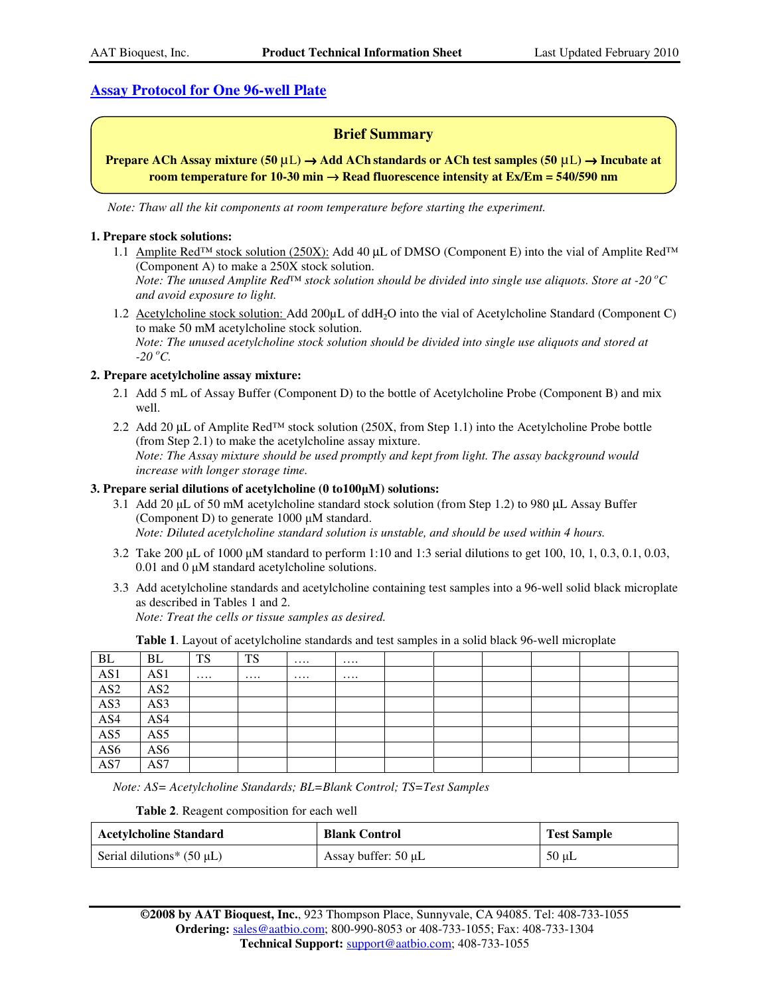# **Assay Protocol for One 96-well Plate**

# **Brief Summary**

**Prepare ACh Assay mixture (50** µL**)** → **Add ACh standards or ACh test samples (50** µL**)** → **Incubate at room temperature for 10-30 min** → **Read fluorescence intensity at Ex/Em = 540/590 nm** 

*Note: Thaw all the kit components at room temperature before starting the experiment.* 

#### **1. Prepare stock solutions:**

1.1 Amplite Red<sup>™</sup> stock solution (250X): Add 40 µL of DMSO (Component E) into the vial of Amplite Red<sup>™</sup> (Component A) to make a 250X stock solution.

*Note: The unused Amplite Red<sup>™</sup> stock solution should be divided into single use aliquots. Store at -20*  $^oC$ *and avoid exposure to light.*

1.2 Acetylcholine stock solution: Add 200µL of ddH2O into the vial of Acetylcholine Standard (Component C) to make 50 mM acetylcholine stock solution. *Note: The unused acetylcholine stock solution should be divided into single use aliquots and stored at -20 <sup>o</sup>C.*

#### **2. Prepare acetylcholine assay mixture:**

- 2.1 Add 5 mL of Assay Buffer (Component D) to the bottle of Acetylcholine Probe (Component B) and mix well.
- 2.2 Add 20 µL of Amplite Red<sup>™</sup> stock solution (250X, from Step 1.1) into the Acetylcholine Probe bottle (from Step 2.1) to make the acetylcholine assay mixture. *Note: The Assay mixture should be used promptly and kept from light. The assay background would increase with longer storage time.*

#### **3. Prepare serial dilutions of acetylcholine (0 to100**µ**M) solutions:**

- 3.1 Add 20 µL of 50 mM acetylcholine standard stock solution (from Step 1.2) to 980 µL Assay Buffer (Component D) to generate 1000 µM standard. *Note: Diluted acetylcholine standard solution is unstable, and should be used within 4 hours.*
- 3.2 Take 200 µL of 1000 µM standard to perform 1:10 and 1:3 serial dilutions to get 100, 10, 1, 0.3, 0.1, 0.03, 0.01 and 0 µM standard acetylcholine solutions.
- 3.3 Add acetylcholine standards and acetylcholine containing test samples into a 96-well solid black microplate as described in Tables 1 and 2. *Note: Treat the cells or tissue samples as desired.*

**Table 1**. Layout of acetylcholine standards and test samples in a solid black 96-well microplate

| BL         | BL              | <b>TS</b> | TS       | $\cdots$ |          |  |  |  |
|------------|-----------------|-----------|----------|----------|----------|--|--|--|
| AS1        | AS1             | $\cdots$  | $\cdots$ | $\cdots$ | $\cdots$ |  |  |  |
| $\bf{AS}2$ | AS <sub>2</sub> |           |          |          |          |  |  |  |
| AS3        | AS3             |           |          |          |          |  |  |  |
| AS4        | AS4             |           |          |          |          |  |  |  |
| AS5        | AS5             |           |          |          |          |  |  |  |
| AS6        | AS6             |           |          |          |          |  |  |  |
| AS7        | AS7             |           |          |          |          |  |  |  |

*Note: AS= Acetylcholine Standards; BL=Blank Control; TS=Test Samples* 

**Table 2**. Reagent composition for each well

| <b>Acetylcholine Standard</b>  | <b>Blank Control</b>     | <b>Test Sample</b> |
|--------------------------------|--------------------------|--------------------|
| Serial dilutions* $(50 \mu L)$ | Assay buffer: $50 \mu L$ | $50 \mu L$         |